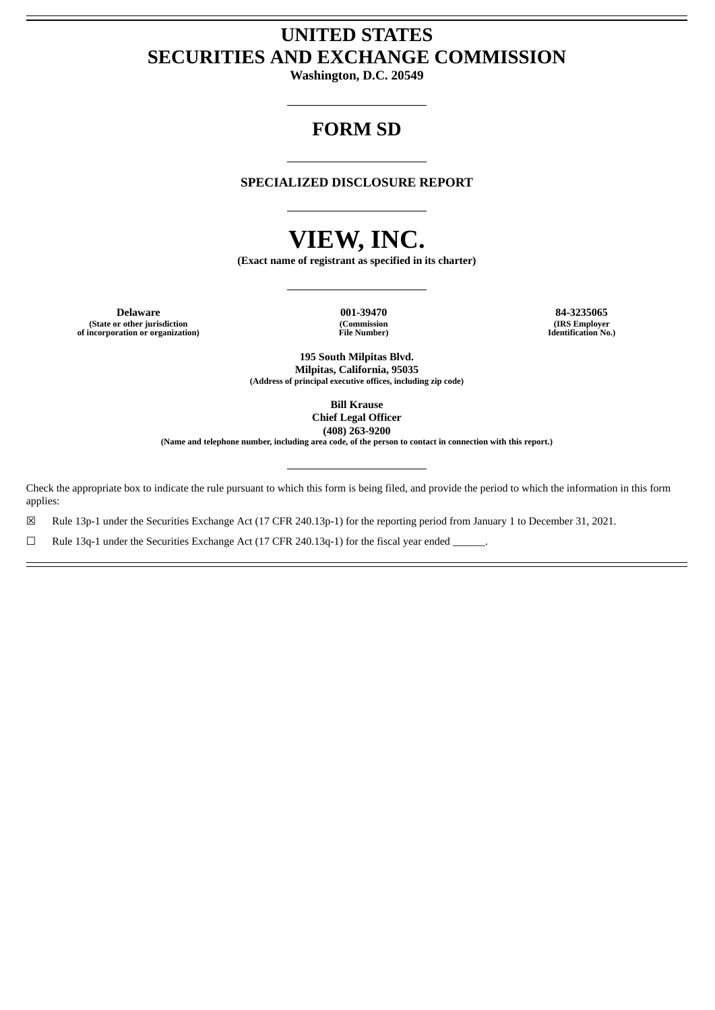# **UNITED STATES SECURITIES AND EXCHANGE COMMISSION**

**Washington, D.C. 20549**

# **FORM SD**

## **SPECIALIZED DISCLOSURE REPORT**

# **VIEW, INC.**

**(Exact name of registrant as specified in its charter)**

**Delaware 001-39470 84-3235065 (State or other jurisdiction of incorporation or organization)**

**(Commission File Number)**

**(IRS Employer Identification No.)**

**195 South Milpitas Blvd. Milpitas, California, 95035 (Address of principal executive offices, including zip code)**

> **Bill Krause Chief Legal Officer (408) 263-9200**

(Name and telephone number, including area code, of the person to contact in connection with this report.)

Check the appropriate box to indicate the rule pursuant to which this form is being filed, and provide the period to which the information in this form applies:

☒ Rule 13p-1 under the Securities Exchange Act (17 CFR 240.13p-1) for the reporting period from January 1 to December 31, 2021.

□ Rule 13q-1 under the Securities Exchange Act (17 CFR 240.13q-1) for the fiscal year ended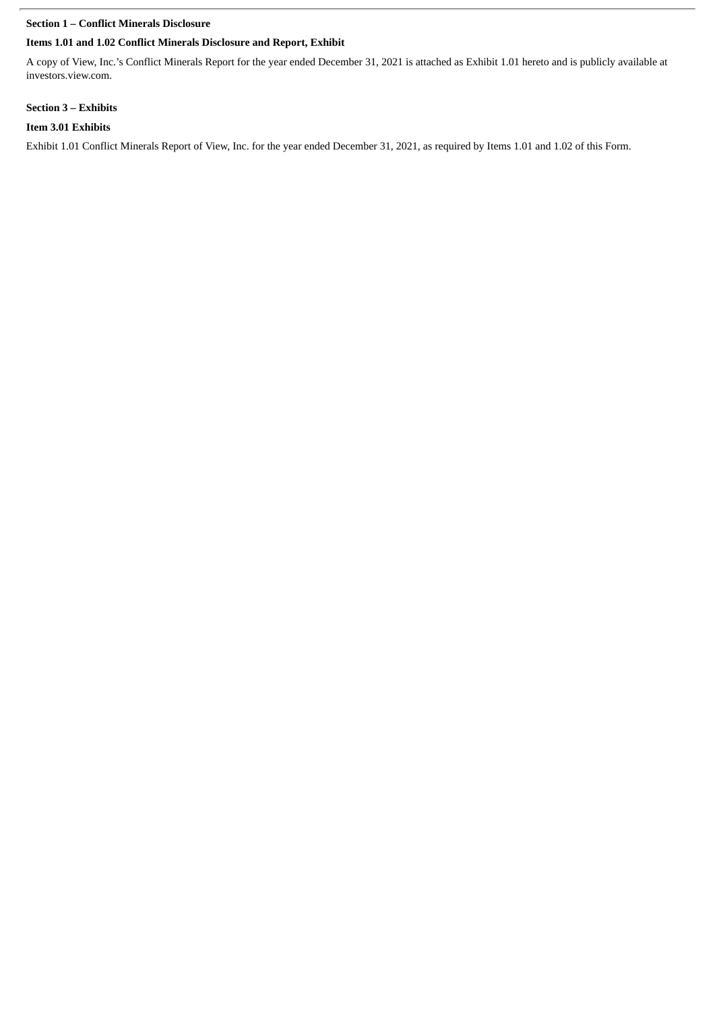# **Section 1 – Conflict Minerals Disclosure**

# **Items 1.01 and 1.02 Conflict Minerals Disclosure and Report, Exhibit**

A copy of View, Inc.'s Conflict Minerals Report for the year ended December 31, 2021 is attached as Exhibit 1.01 hereto and is publicly available at investors.view.com.

# **Section 3 – Exhibits**

# **Item 3.01 Exhibits**

Exhibit 1.01 Conflict Minerals Report of View, Inc. for the year ended December 31, 2021, as required by Items 1.01 and 1.02 of this Form.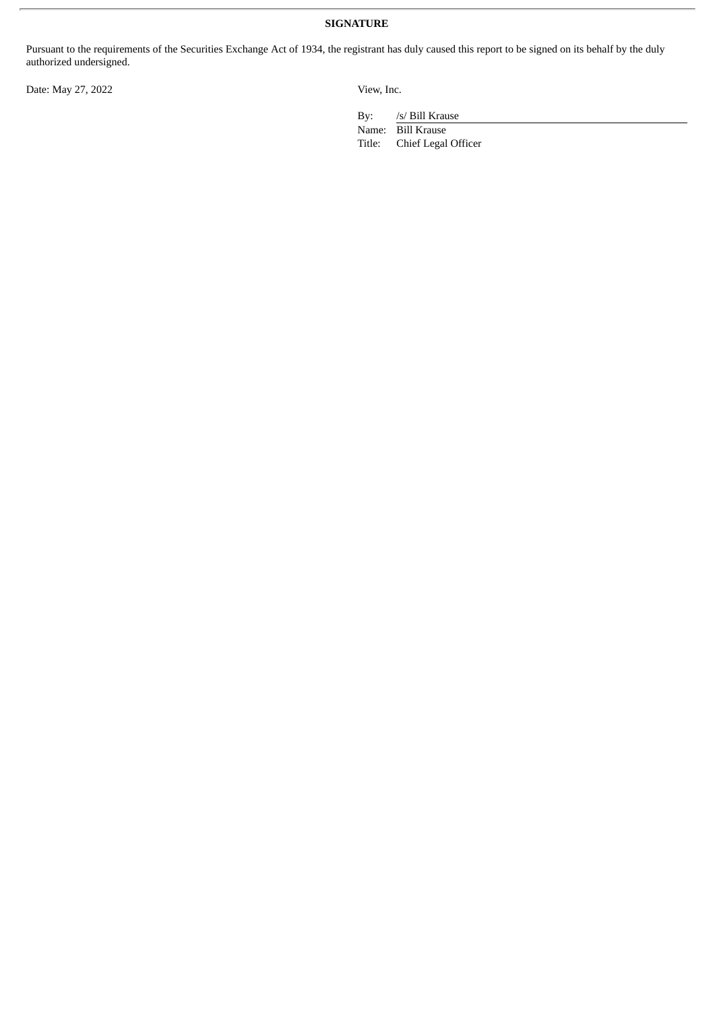**SIGNATURE**

Pursuant to the requirements of the Securities Exchange Act of 1934, the registrant has duly caused this report to be signed on its behalf by the duly authorized undersigned.

Date: May 27, 2022 View, Inc.

By: /s/ Bill Krause

Name: Bill Krause<br>Title: Chief Legal Chief Legal Officer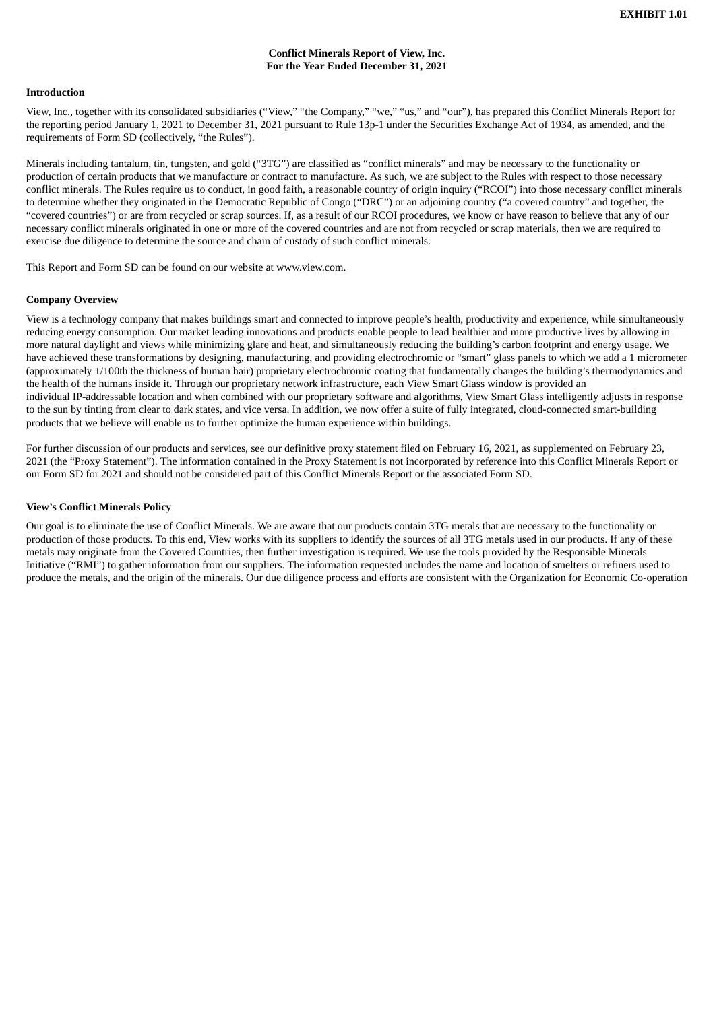#### **Conflict Minerals Report of View, Inc. For the Year Ended December 31, 2021**

#### **Introduction**

View, Inc., together with its consolidated subsidiaries ("View," "the Company," "we," "us," and "our"), has prepared this Conflict Minerals Report for the reporting period January 1, 2021 to December 31, 2021 pursuant to Rule 13p-1 under the Securities Exchange Act of 1934, as amended, and the requirements of Form SD (collectively, "the Rules").

Minerals including tantalum, tin, tungsten, and gold ("3TG") are classified as "conflict minerals" and may be necessary to the functionality or production of certain products that we manufacture or contract to manufacture. As such, we are subject to the Rules with respect to those necessary conflict minerals. The Rules require us to conduct, in good faith, a reasonable country of origin inquiry ("RCOI") into those necessary conflict minerals to determine whether they originated in the Democratic Republic of Congo ("DRC") or an adjoining country ("a covered country" and together, the "covered countries") or are from recycled or scrap sources. If, as a result of our RCOI procedures, we know or have reason to believe that any of our necessary conflict minerals originated in one or more of the covered countries and are not from recycled or scrap materials, then we are required to exercise due diligence to determine the source and chain of custody of such conflict minerals.

This Report and Form SD can be found on our website at www.view.com.

#### **Company Overview**

View is a technology company that makes buildings smart and connected to improve people's health, productivity and experience, while simultaneously reducing energy consumption. Our market leading innovations and products enable people to lead healthier and more productive lives by allowing in more natural daylight and views while minimizing glare and heat, and simultaneously reducing the building's carbon footprint and energy usage. We have achieved these transformations by designing, manufacturing, and providing electrochromic or "smart" glass panels to which we add a 1 micrometer (approximately 1/100th the thickness of human hair) proprietary electrochromic coating that fundamentally changes the building's thermodynamics and the health of the humans inside it. Through our proprietary network infrastructure, each View Smart Glass window is provided an individual IP-addressable location and when combined with our proprietary software and algorithms, View Smart Glass intelligently adjusts in response to the sun by tinting from clear to dark states, and vice versa. In addition, we now offer a suite of fully integrated, cloud-connected smart-building products that we believe will enable us to further optimize the human experience within buildings.

For further discussion of our products and services, see our definitive proxy statement filed on February 16, 2021, as supplemented on February 23, 2021 (the "Proxy Statement"). The information contained in the Proxy Statement is not incorporated by reference into this Conflict Minerals Report or our Form SD for 2021 and should not be considered part of this Conflict Minerals Report or the associated Form SD.

#### **View's Conflict Minerals Policy**

Our goal is to eliminate the use of Conflict Minerals. We are aware that our products contain 3TG metals that are necessary to the functionality or production of those products. To this end, View works with its suppliers to identify the sources of all 3TG metals used in our products. If any of these metals may originate from the Covered Countries, then further investigation is required. We use the tools provided by the Responsible Minerals Initiative ("RMI") to gather information from our suppliers. The information requested includes the name and location of smelters or refiners used to produce the metals, and the origin of the minerals. Our due diligence process and efforts are consistent with the Organization for Economic Co-operation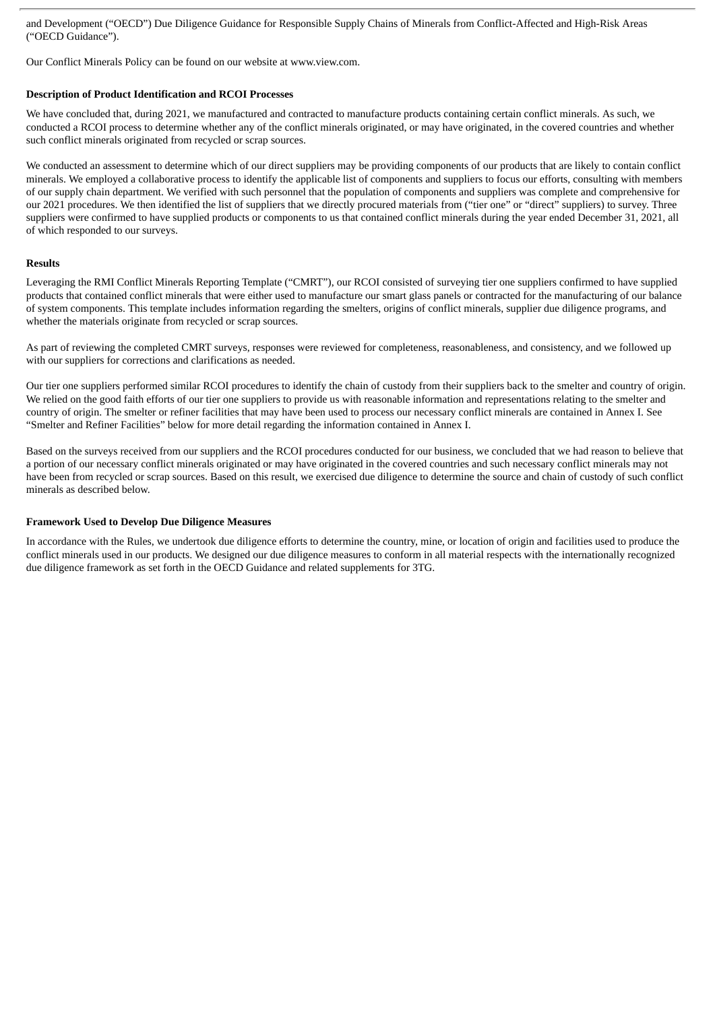and Development ("OECD") Due Diligence Guidance for Responsible Supply Chains of Minerals from Conflict-Affected and High-Risk Areas ("OECD Guidance").

Our Conflict Minerals Policy can be found on our website at www.view.com.

#### **Description of Product Identification and RCOI Processes**

We have concluded that, during 2021, we manufactured and contracted to manufacture products containing certain conflict minerals. As such, we conducted a RCOI process to determine whether any of the conflict minerals originated, or may have originated, in the covered countries and whether such conflict minerals originated from recycled or scrap sources.

We conducted an assessment to determine which of our direct suppliers may be providing components of our products that are likely to contain conflict minerals. We employed a collaborative process to identify the applicable list of components and suppliers to focus our efforts, consulting with members of our supply chain department. We verified with such personnel that the population of components and suppliers was complete and comprehensive for our 2021 procedures. We then identified the list of suppliers that we directly procured materials from ("tier one" or "direct" suppliers) to survey. Three suppliers were confirmed to have supplied products or components to us that contained conflict minerals during the year ended December 31, 2021, all of which responded to our surveys.

#### **Results**

Leveraging the RMI Conflict Minerals Reporting Template ("CMRT"), our RCOI consisted of surveying tier one suppliers confirmed to have supplied products that contained conflict minerals that were either used to manufacture our smart glass panels or contracted for the manufacturing of our balance of system components. This template includes information regarding the smelters, origins of conflict minerals, supplier due diligence programs, and whether the materials originate from recycled or scrap sources.

As part of reviewing the completed CMRT surveys, responses were reviewed for completeness, reasonableness, and consistency, and we followed up with our suppliers for corrections and clarifications as needed.

Our tier one suppliers performed similar RCOI procedures to identify the chain of custody from their suppliers back to the smelter and country of origin. We relied on the good faith efforts of our tier one suppliers to provide us with reasonable information and representations relating to the smelter and country of origin. The smelter or refiner facilities that may have been used to process our necessary conflict minerals are contained in Annex I. See "Smelter and Refiner Facilities" below for more detail regarding the information contained in Annex I.

Based on the surveys received from our suppliers and the RCOI procedures conducted for our business, we concluded that we had reason to believe that a portion of our necessary conflict minerals originated or may have originated in the covered countries and such necessary conflict minerals may not have been from recycled or scrap sources. Based on this result, we exercised due diligence to determine the source and chain of custody of such conflict minerals as described below.

#### **Framework Used to Develop Due Diligence Measures**

In accordance with the Rules, we undertook due diligence efforts to determine the country, mine, or location of origin and facilities used to produce the conflict minerals used in our products. We designed our due diligence measures to conform in all material respects with the internationally recognized due diligence framework as set forth in the OECD Guidance and related supplements for 3TG.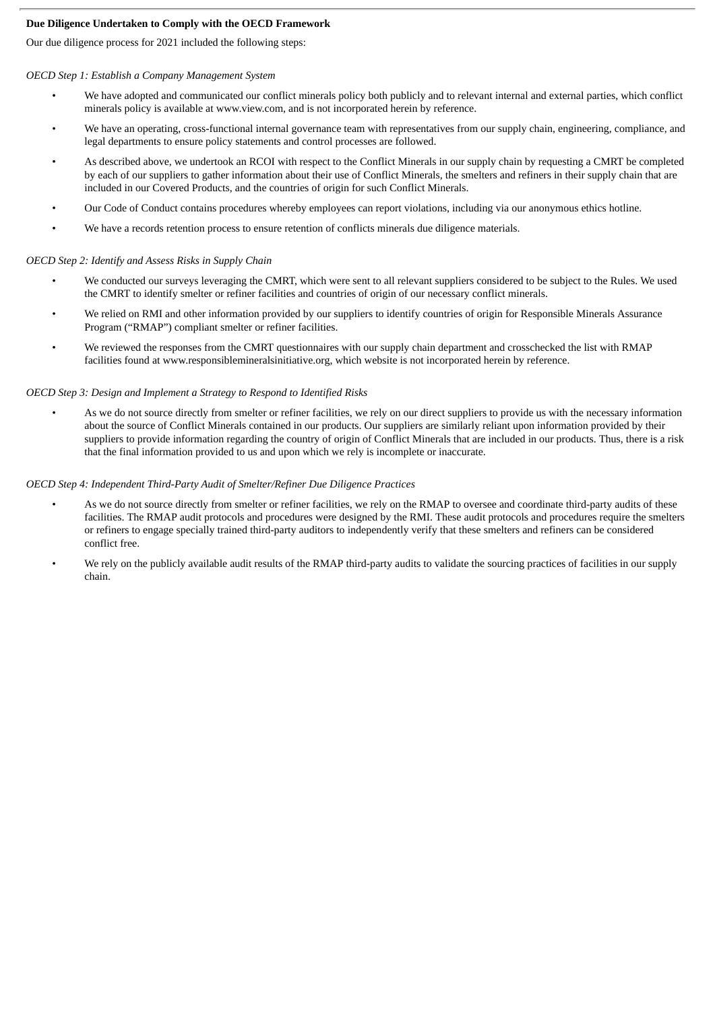## **Due Diligence Undertaken to Comply with the OECD Framework**

Our due diligence process for 2021 included the following steps:

## *OECD Step 1: Establish a Company Management System*

- We have adopted and communicated our conflict minerals policy both publicly and to relevant internal and external parties, which conflict minerals policy is available at www.view.com, and is not incorporated herein by reference.
- We have an operating, cross-functional internal governance team with representatives from our supply chain, engineering, compliance, and legal departments to ensure policy statements and control processes are followed.
- As described above, we undertook an RCOI with respect to the Conflict Minerals in our supply chain by requesting a CMRT be completed by each of our suppliers to gather information about their use of Conflict Minerals, the smelters and refiners in their supply chain that are included in our Covered Products, and the countries of origin for such Conflict Minerals.
- Our Code of Conduct contains procedures whereby employees can report violations, including via our anonymous ethics hotline.
- We have a records retention process to ensure retention of conflicts minerals due diligence materials.

#### *OECD Step 2: Identify and Assess Risks in Supply Chain*

- We conducted our surveys leveraging the CMRT, which were sent to all relevant suppliers considered to be subject to the Rules. We used the CMRT to identify smelter or refiner facilities and countries of origin of our necessary conflict minerals.
- We relied on RMI and other information provided by our suppliers to identify countries of origin for Responsible Minerals Assurance Program ("RMAP") compliant smelter or refiner facilities.
- We reviewed the responses from the CMRT questionnaires with our supply chain department and crosschecked the list with RMAP facilities found at www.responsiblemineralsinitiative.org, which website is not incorporated herein by reference.

#### *OECD Step 3: Design and Implement a Strategy to Respond to Identified Risks*

As we do not source directly from smelter or refiner facilities, we rely on our direct suppliers to provide us with the necessary information about the source of Conflict Minerals contained in our products. Our suppliers are similarly reliant upon information provided by their suppliers to provide information regarding the country of origin of Conflict Minerals that are included in our products. Thus, there is a risk that the final information provided to us and upon which we rely is incomplete or inaccurate.

#### *OECD Step 4: Independent Third-Party Audit of Smelter/Refiner Due Diligence Practices*

- As we do not source directly from smelter or refiner facilities, we rely on the RMAP to oversee and coordinate third-party audits of these facilities. The RMAP audit protocols and procedures were designed by the RMI. These audit protocols and procedures require the smelters or refiners to engage specially trained third-party auditors to independently verify that these smelters and refiners can be considered conflict free.
- We rely on the publicly available audit results of the RMAP third-party audits to validate the sourcing practices of facilities in our supply chain.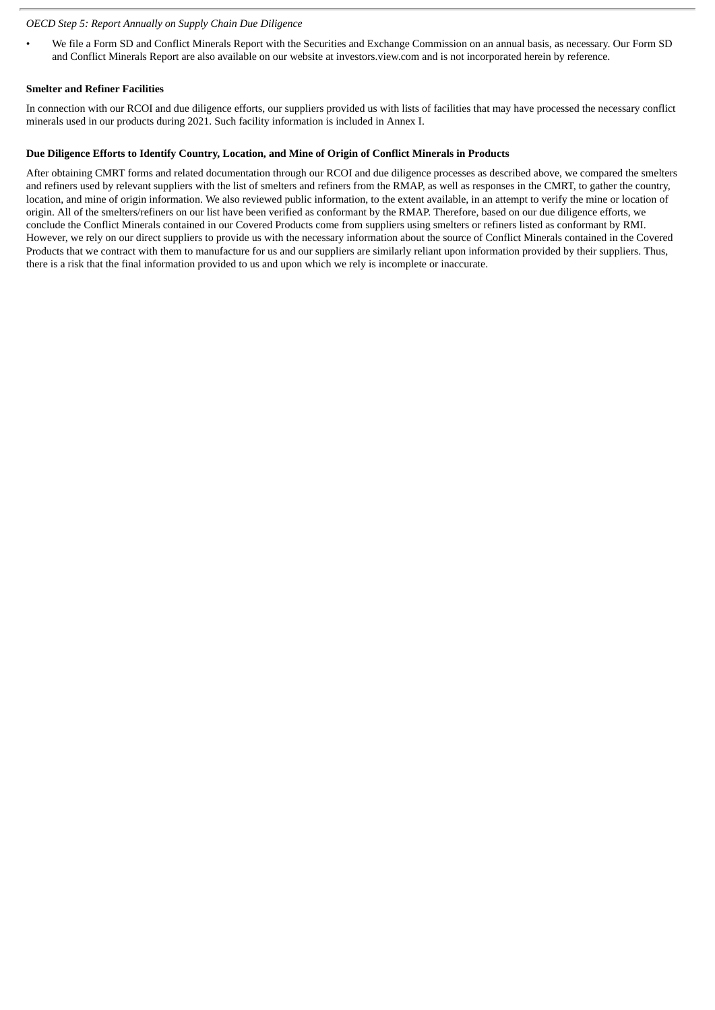#### *OECD Step 5: Report Annually on Supply Chain Due Diligence*

• We file a Form SD and Conflict Minerals Report with the Securities and Exchange Commission on an annual basis, as necessary. Our Form SD and Conflict Minerals Report are also available on our website at investors.view.com and is not incorporated herein by reference.

#### **Smelter and Refiner Facilities**

In connection with our RCOI and due diligence efforts, our suppliers provided us with lists of facilities that may have processed the necessary conflict minerals used in our products during 2021. Such facility information is included in Annex I.

#### **Due Diligence Efforts to Identify Country, Location, and Mine of Origin of Conflict Minerals in Products**

After obtaining CMRT forms and related documentation through our RCOI and due diligence processes as described above, we compared the smelters and refiners used by relevant suppliers with the list of smelters and refiners from the RMAP, as well as responses in the CMRT, to gather the country, location, and mine of origin information. We also reviewed public information, to the extent available, in an attempt to verify the mine or location of origin. All of the smelters/refiners on our list have been verified as conformant by the RMAP. Therefore, based on our due diligence efforts, we conclude the Conflict Minerals contained in our Covered Products come from suppliers using smelters or refiners listed as conformant by RMI. However, we rely on our direct suppliers to provide us with the necessary information about the source of Conflict Minerals contained in the Covered Products that we contract with them to manufacture for us and our suppliers are similarly reliant upon information provided by their suppliers. Thus, there is a risk that the final information provided to us and upon which we rely is incomplete or inaccurate.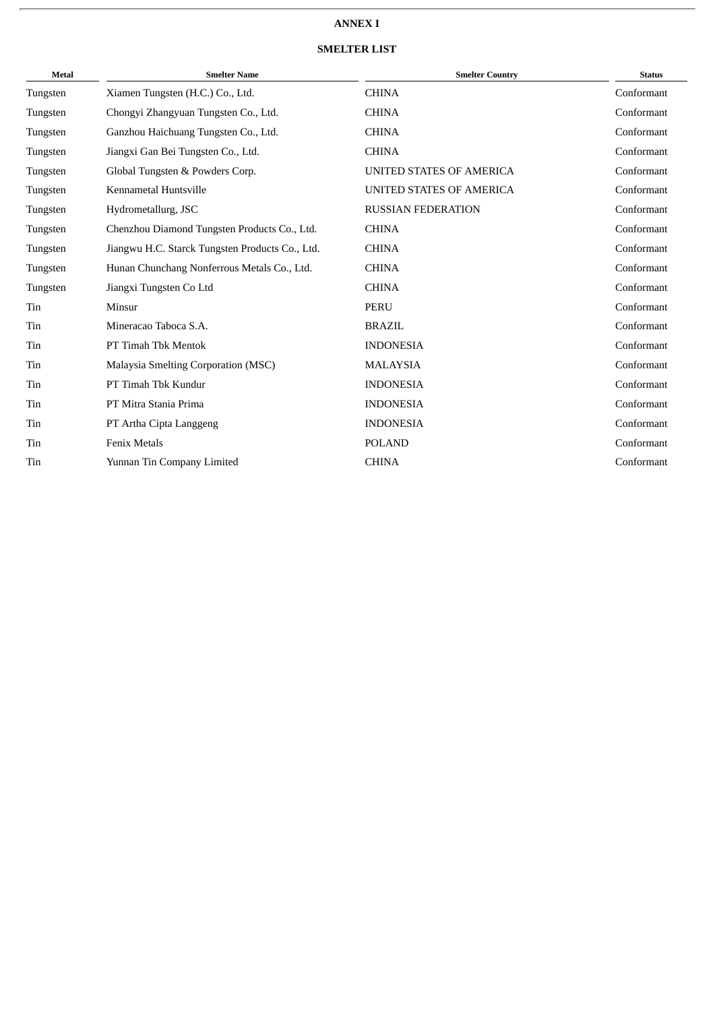# **ANNEX I**

# **SMELTER LIST**

| <b>Metal</b> | <b>Smelter Name</b>                             | <b>Smelter Country</b>    | <b>Status</b> |
|--------------|-------------------------------------------------|---------------------------|---------------|
| Tungsten     | Xiamen Tungsten (H.C.) Co., Ltd.                | <b>CHINA</b>              | Conformant    |
| Tungsten     | Chongyi Zhangyuan Tungsten Co., Ltd.            | <b>CHINA</b>              | Conformant    |
| Tungsten     | Ganzhou Haichuang Tungsten Co., Ltd.            | <b>CHINA</b>              | Conformant    |
| Tungsten     | Jiangxi Gan Bei Tungsten Co., Ltd.              | <b>CHINA</b>              | Conformant    |
| Tungsten     | Global Tungsten & Powders Corp.                 | UNITED STATES OF AMERICA  | Conformant    |
| Tungsten     | Kennametal Huntsville                           | UNITED STATES OF AMERICA  | Conformant    |
| Tungsten     | Hydrometallurg, JSC                             | <b>RUSSIAN FEDERATION</b> | Conformant    |
| Tungsten     | Chenzhou Diamond Tungsten Products Co., Ltd.    | <b>CHINA</b>              | Conformant    |
| Tungsten     | Jiangwu H.C. Starck Tungsten Products Co., Ltd. | <b>CHINA</b>              | Conformant    |
| Tungsten     | Hunan Chunchang Nonferrous Metals Co., Ltd.     | <b>CHINA</b>              | Conformant    |
| Tungsten     | Jiangxi Tungsten Co Ltd                         | <b>CHINA</b>              | Conformant    |
| Tin          | Minsur                                          | <b>PERU</b>               | Conformant    |
| Tin          | Mineracao Taboca S.A.                           | <b>BRAZIL</b>             | Conformant    |
| Tin          | PT Timah Tbk Mentok                             | <b>INDONESIA</b>          | Conformant    |
| Tin          | Malaysia Smelting Corporation (MSC)             | <b>MALAYSIA</b>           | Conformant    |
| Tin          | PT Timah Tbk Kundur                             | <b>INDONESIA</b>          | Conformant    |
| Tin          | PT Mitra Stania Prima                           | <b>INDONESIA</b>          | Conformant    |
| Tin          | PT Artha Cipta Langgeng                         | <b>INDONESIA</b>          | Conformant    |
| Tin          | <b>Fenix Metals</b>                             | <b>POLAND</b>             | Conformant    |
| Tin          | Yunnan Tin Company Limited                      | <b>CHINA</b>              | Conformant    |
|              |                                                 |                           |               |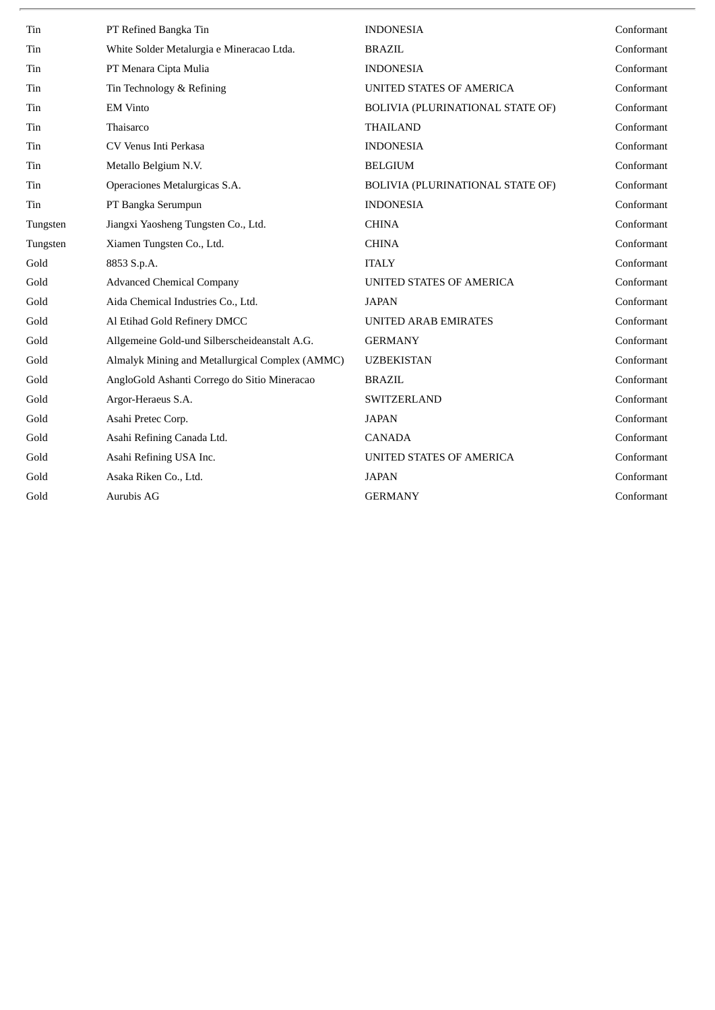| Tin      | PT Refined Bangka Tin                           | <b>INDONESIA</b>                 | Conformant |
|----------|-------------------------------------------------|----------------------------------|------------|
| Tin      | White Solder Metalurgia e Mineracao Ltda.       | <b>BRAZIL</b>                    | Conformant |
| Tin      | PT Menara Cipta Mulia                           | <b>INDONESIA</b>                 | Conformant |
| Tin      | Tin Technology & Refining                       | UNITED STATES OF AMERICA         | Conformant |
| Tin      | <b>EM Vinto</b>                                 | BOLIVIA (PLURINATIONAL STATE OF) | Conformant |
| Tin      | Thaisarco                                       | <b>THAILAND</b>                  | Conformant |
| Tin      | CV Venus Inti Perkasa                           | <b>INDONESIA</b>                 | Conformant |
| Tin      | Metallo Belgium N.V.                            | <b>BELGIUM</b>                   | Conformant |
| Tin      | Operaciones Metalurgicas S.A.                   | BOLIVIA (PLURINATIONAL STATE OF) | Conformant |
| Tin      | PT Bangka Serumpun                              | <b>INDONESIA</b>                 | Conformant |
| Tungsten | Jiangxi Yaosheng Tungsten Co., Ltd.             | <b>CHINA</b>                     | Conformant |
| Tungsten | Xiamen Tungsten Co., Ltd.                       | <b>CHINA</b>                     | Conformant |
| Gold     | 8853 S.p.A.                                     | <b>ITALY</b>                     | Conformant |
| Gold     | <b>Advanced Chemical Company</b>                | UNITED STATES OF AMERICA         | Conformant |
| Gold     | Aida Chemical Industries Co., Ltd.              | <b>JAPAN</b>                     | Conformant |
| Gold     | Al Etihad Gold Refinery DMCC                    | <b>UNITED ARAB EMIRATES</b>      | Conformant |
| Gold     | Allgemeine Gold-und Silberscheideanstalt A.G.   | <b>GERMANY</b>                   | Conformant |
| Gold     | Almalyk Mining and Metallurgical Complex (AMMC) | <b>UZBEKISTAN</b>                | Conformant |
| Gold     | AngloGold Ashanti Corrego do Sitio Mineracao    | <b>BRAZIL</b>                    | Conformant |
| Gold     | Argor-Heraeus S.A.                              | <b>SWITZERLAND</b>               | Conformant |
| Gold     | Asahi Pretec Corp.                              | <b>JAPAN</b>                     | Conformant |
| Gold     | Asahi Refining Canada Ltd.                      | <b>CANADA</b>                    | Conformant |
| Gold     | Asahi Refining USA Inc.                         | UNITED STATES OF AMERICA         | Conformant |
| Gold     | Asaka Riken Co., Ltd.                           | <b>JAPAN</b>                     | Conformant |
| Gold     | Aurubis AG                                      | <b>GERMANY</b>                   | Conformant |
|          |                                                 |                                  |            |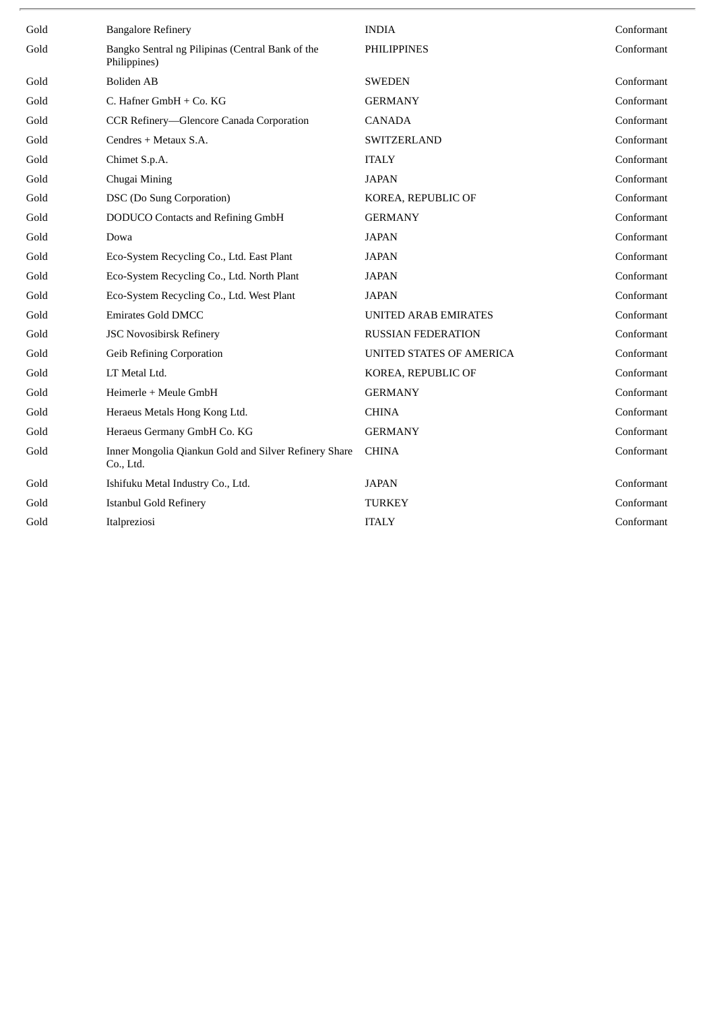| Gold | <b>Bangalore Refinery</b>                                          | <b>INDIA</b>                | Conformant |
|------|--------------------------------------------------------------------|-----------------------------|------------|
| Gold | Bangko Sentral ng Pilipinas (Central Bank of the<br>Philippines)   | <b>PHILIPPINES</b>          | Conformant |
| Gold | <b>Boliden AB</b>                                                  | <b>SWEDEN</b>               | Conformant |
| Gold | C. Hafner GmbH + Co. KG                                            | <b>GERMANY</b>              | Conformant |
| Gold | CCR Refinery—Glencore Canada Corporation                           | <b>CANADA</b>               | Conformant |
| Gold | Cendres + Metaux S.A.                                              | SWITZERLAND                 | Conformant |
| Gold | Chimet S.p.A.                                                      | <b>ITALY</b>                | Conformant |
| Gold | Chugai Mining                                                      | <b>JAPAN</b>                | Conformant |
| Gold | DSC (Do Sung Corporation)                                          | KOREA, REPUBLIC OF          | Conformant |
| Gold | <b>DODUCO</b> Contacts and Refining GmbH                           | <b>GERMANY</b>              | Conformant |
| Gold | Dowa                                                               | <b>JAPAN</b>                | Conformant |
| Gold | Eco-System Recycling Co., Ltd. East Plant                          | <b>JAPAN</b>                | Conformant |
| Gold | Eco-System Recycling Co., Ltd. North Plant                         | <b>JAPAN</b>                | Conformant |
| Gold | Eco-System Recycling Co., Ltd. West Plant                          | <b>JAPAN</b>                | Conformant |
| Gold | <b>Emirates Gold DMCC</b>                                          | <b>UNITED ARAB EMIRATES</b> | Conformant |
| Gold | <b>JSC Novosibirsk Refinery</b>                                    | <b>RUSSIAN FEDERATION</b>   | Conformant |
| Gold | <b>Geib Refining Corporation</b>                                   | UNITED STATES OF AMERICA    | Conformant |
| Gold | LT Metal Ltd.                                                      | KOREA, REPUBLIC OF          | Conformant |
| Gold | Heimerle + Meule GmbH                                              | <b>GERMANY</b>              | Conformant |
| Gold | Heraeus Metals Hong Kong Ltd.                                      | <b>CHINA</b>                | Conformant |
| Gold | Heraeus Germany GmbH Co. KG                                        | <b>GERMANY</b>              | Conformant |
| Gold | Inner Mongolia Qiankun Gold and Silver Refinery Share<br>Co., Ltd. | <b>CHINA</b>                | Conformant |
| Gold | Ishifuku Metal Industry Co., Ltd.                                  | <b>JAPAN</b>                | Conformant |
| Gold | <b>Istanbul Gold Refinery</b>                                      | <b>TURKEY</b>               | Conformant |
| Gold | Italpreziosi                                                       | <b>ITALY</b>                | Conformant |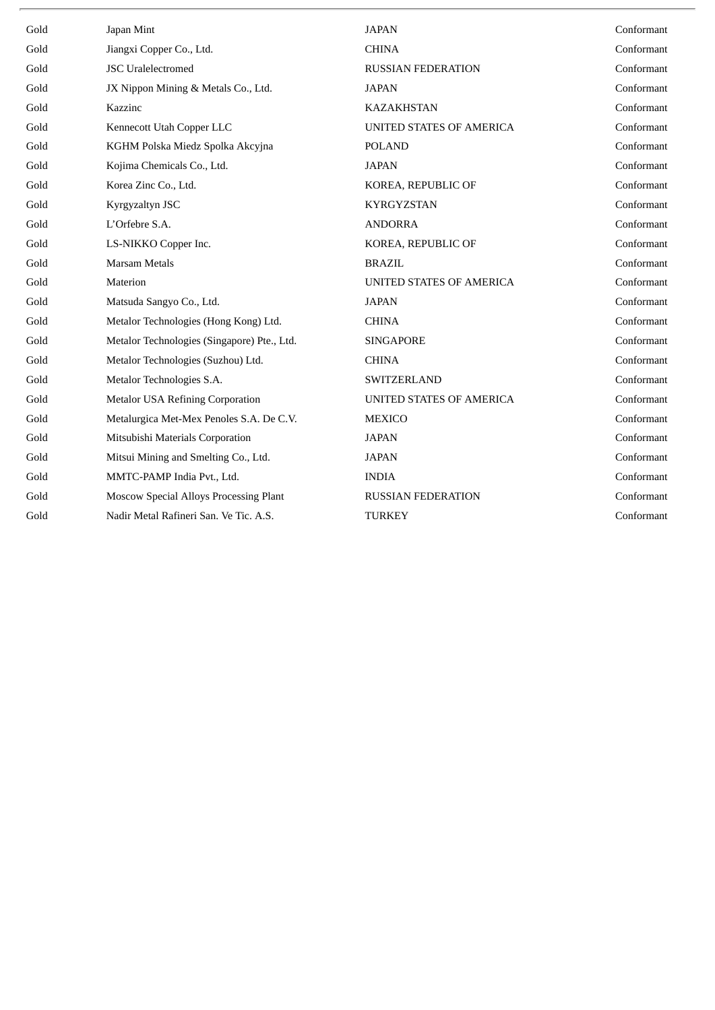| Gold | Japan Mint                                  | <b>JAPAN</b>              | Conformant |
|------|---------------------------------------------|---------------------------|------------|
| Gold | Jiangxi Copper Co., Ltd.                    | <b>CHINA</b>              | Conformant |
| Gold | <b>JSC</b> Uralelectromed                   | <b>RUSSIAN FEDERATION</b> | Conformant |
| Gold | JX Nippon Mining & Metals Co., Ltd.         | <b>JAPAN</b>              | Conformant |
| Gold | Kazzinc                                     | <b>KAZAKHSTAN</b>         | Conformant |
| Gold | Kennecott Utah Copper LLC                   | UNITED STATES OF AMERICA  | Conformant |
| Gold | KGHM Polska Miedz Spolka Akcyjna            | <b>POLAND</b>             | Conformant |
| Gold | Kojima Chemicals Co., Ltd.                  | <b>JAPAN</b>              | Conformant |
| Gold | Korea Zinc Co., Ltd.                        | KOREA, REPUBLIC OF        | Conformant |
| Gold | Kyrgyzaltyn JSC                             | <b>KYRGYZSTAN</b>         | Conformant |
| Gold | L'Orfebre S.A.                              | <b>ANDORRA</b>            | Conformant |
| Gold | LS-NIKKO Copper Inc.                        | KOREA, REPUBLIC OF        | Conformant |
| Gold | <b>Marsam Metals</b>                        | <b>BRAZIL</b>             | Conformant |
| Gold | Materion                                    | UNITED STATES OF AMERICA  | Conformant |
| Gold | Matsuda Sangyo Co., Ltd.                    | <b>JAPAN</b>              | Conformant |
| Gold | Metalor Technologies (Hong Kong) Ltd.       | <b>CHINA</b>              | Conformant |
| Gold | Metalor Technologies (Singapore) Pte., Ltd. | <b>SINGAPORE</b>          | Conformant |
| Gold | Metalor Technologies (Suzhou) Ltd.          | <b>CHINA</b>              | Conformant |
| Gold | Metalor Technologies S.A.                   | SWITZERLAND               | Conformant |
| Gold | <b>Metalor USA Refining Corporation</b>     | UNITED STATES OF AMERICA  | Conformant |
| Gold | Metalurgica Met-Mex Penoles S.A. De C.V.    | <b>MEXICO</b>             | Conformant |
| Gold | Mitsubishi Materials Corporation            | <b>JAPAN</b>              | Conformant |
| Gold | Mitsui Mining and Smelting Co., Ltd.        | <b>JAPAN</b>              | Conformant |
| Gold | MMTC-PAMP India Pvt., Ltd.                  | <b>INDIA</b>              | Conformant |
| Gold | Moscow Special Alloys Processing Plant      | <b>RUSSIAN FEDERATION</b> | Conformant |
| Gold | Nadir Metal Rafineri San. Ve Tic. A.S.      | <b>TURKEY</b>             | Conformant |
|      |                                             |                           |            |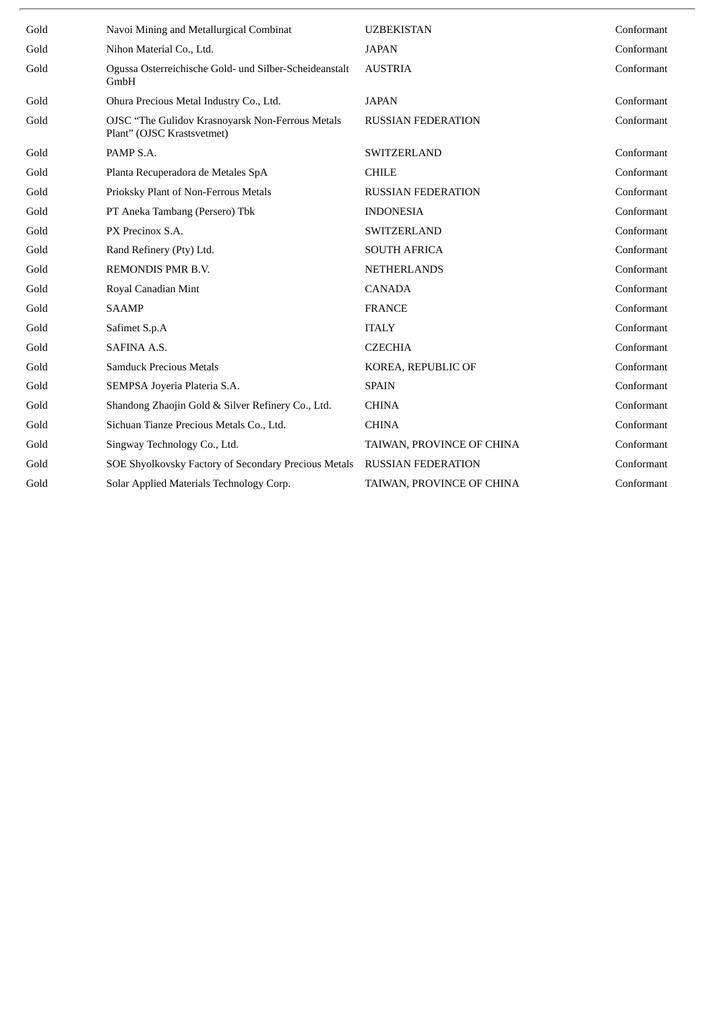| Gold | Navoi Mining and Metallurgical Combinat                                        | <b>UZBEKISTAN</b>         | Conformant |
|------|--------------------------------------------------------------------------------|---------------------------|------------|
| Gold | Nihon Material Co., Ltd.                                                       | <b>JAPAN</b>              | Conformant |
| Gold | Ogussa Osterreichische Gold- und Silber-Scheideanstalt<br>GmbH                 | <b>AUSTRIA</b>            | Conformant |
| Gold | Ohura Precious Metal Industry Co., Ltd.                                        | <b>JAPAN</b>              | Conformant |
| Gold | OJSC "The Gulidov Krasnoyarsk Non-Ferrous Metals<br>Plant" (OJSC Krastsvetmet) | <b>RUSSIAN FEDERATION</b> | Conformant |
| Gold | PAMP S.A.                                                                      | <b>SWITZERLAND</b>        | Conformant |
| Gold | Planta Recuperadora de Metales SpA                                             | <b>CHILE</b>              | Conformant |
| Gold | Prioksky Plant of Non-Ferrous Metals                                           | <b>RUSSIAN FEDERATION</b> | Conformant |
| Gold | PT Aneka Tambang (Persero) Tbk                                                 | <b>INDONESIA</b>          | Conformant |
| Gold | PX Precinox S.A.                                                               | <b>SWITZERLAND</b>        | Conformant |
| Gold | Rand Refinery (Pty) Ltd.                                                       | <b>SOUTH AFRICA</b>       | Conformant |
| Gold | REMONDIS PMR B.V.                                                              | <b>NETHERLANDS</b>        | Conformant |
| Gold | Royal Canadian Mint                                                            | <b>CANADA</b>             | Conformant |
| Gold | <b>SAAMP</b>                                                                   | <b>FRANCE</b>             | Conformant |
| Gold | Safimet S.p.A                                                                  | <b>ITALY</b>              | Conformant |
| Gold | SAFINA A.S.                                                                    | <b>CZECHIA</b>            | Conformant |
| Gold | <b>Samduck Precious Metals</b>                                                 | KOREA, REPUBLIC OF        | Conformant |
| Gold | SEMPSA Joyeria Plateria S.A.                                                   | <b>SPAIN</b>              | Conformant |
| Gold | Shandong Zhaojin Gold & Silver Refinery Co., Ltd.                              | <b>CHINA</b>              | Conformant |
| Gold | Sichuan Tianze Precious Metals Co., Ltd.                                       | <b>CHINA</b>              | Conformant |
| Gold | Singway Technology Co., Ltd.                                                   | TAIWAN, PROVINCE OF CHINA | Conformant |
| Gold | SOE Shyolkovsky Factory of Secondary Precious Metals                           | <b>RUSSIAN FEDERATION</b> | Conformant |
| Gold | Solar Applied Materials Technology Corp.                                       | TAIWAN, PROVINCE OF CHINA | Conformant |
|      |                                                                                |                           |            |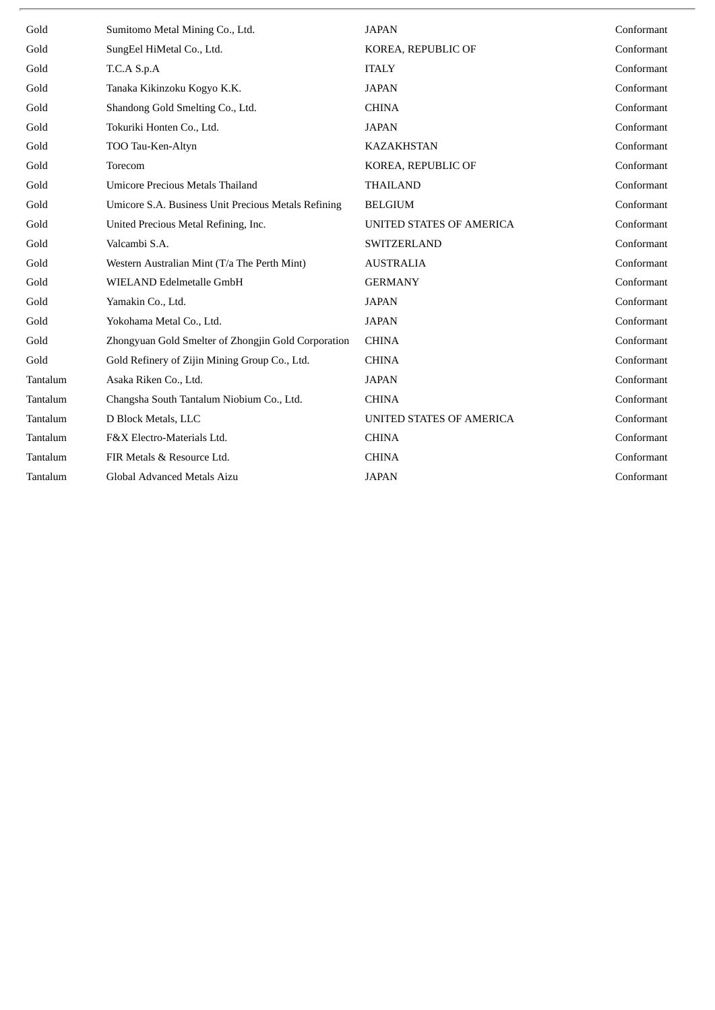| Gold     | Sumitomo Metal Mining Co., Ltd.                     | <b>JAPAN</b>             | Conformant |
|----------|-----------------------------------------------------|--------------------------|------------|
| Gold     | SungEel HiMetal Co., Ltd.                           | KOREA, REPUBLIC OF       | Conformant |
| Gold     | T.C.A S.p.A                                         | <b>ITALY</b>             | Conformant |
| Gold     | Tanaka Kikinzoku Kogyo K.K.                         | <b>JAPAN</b>             | Conformant |
| Gold     | Shandong Gold Smelting Co., Ltd.                    | <b>CHINA</b>             | Conformant |
| Gold     | Tokuriki Honten Co., Ltd.                           | <b>JAPAN</b>             | Conformant |
| Gold     | TOO Tau-Ken-Altyn                                   | <b>KAZAKHSTAN</b>        | Conformant |
| Gold     | Torecom                                             | KOREA, REPUBLIC OF       | Conformant |
| Gold     | <b>Umicore Precious Metals Thailand</b>             | <b>THAILAND</b>          | Conformant |
| Gold     | Umicore S.A. Business Unit Precious Metals Refining | <b>BELGIUM</b>           | Conformant |
| Gold     | United Precious Metal Refining, Inc.                | UNITED STATES OF AMERICA | Conformant |
| Gold     | Valcambi S.A.                                       | SWITZERLAND              | Conformant |
| Gold     | Western Australian Mint (T/a The Perth Mint)        | <b>AUSTRALIA</b>         | Conformant |
| Gold     | WIELAND Edelmetalle GmbH                            | <b>GERMANY</b>           | Conformant |
| Gold     | Yamakin Co., Ltd.                                   | <b>JAPAN</b>             | Conformant |
| Gold     | Yokohama Metal Co., Ltd.                            | <b>JAPAN</b>             | Conformant |
| Gold     | Zhongyuan Gold Smelter of Zhongjin Gold Corporation | <b>CHINA</b>             | Conformant |
| Gold     | Gold Refinery of Zijin Mining Group Co., Ltd.       | <b>CHINA</b>             | Conformant |
| Tantalum | Asaka Riken Co., Ltd.                               | <b>JAPAN</b>             | Conformant |
| Tantalum | Changsha South Tantalum Niobium Co., Ltd.           | <b>CHINA</b>             | Conformant |
| Tantalum | D Block Metals, LLC                                 | UNITED STATES OF AMERICA | Conformant |
| Tantalum | F&X Electro-Materials Ltd.                          | <b>CHINA</b>             | Conformant |
| Tantalum | FIR Metals & Resource Ltd.                          | <b>CHINA</b>             | Conformant |
| Tantalum | Global Advanced Metals Aizu                         | <b>JAPAN</b>             | Conformant |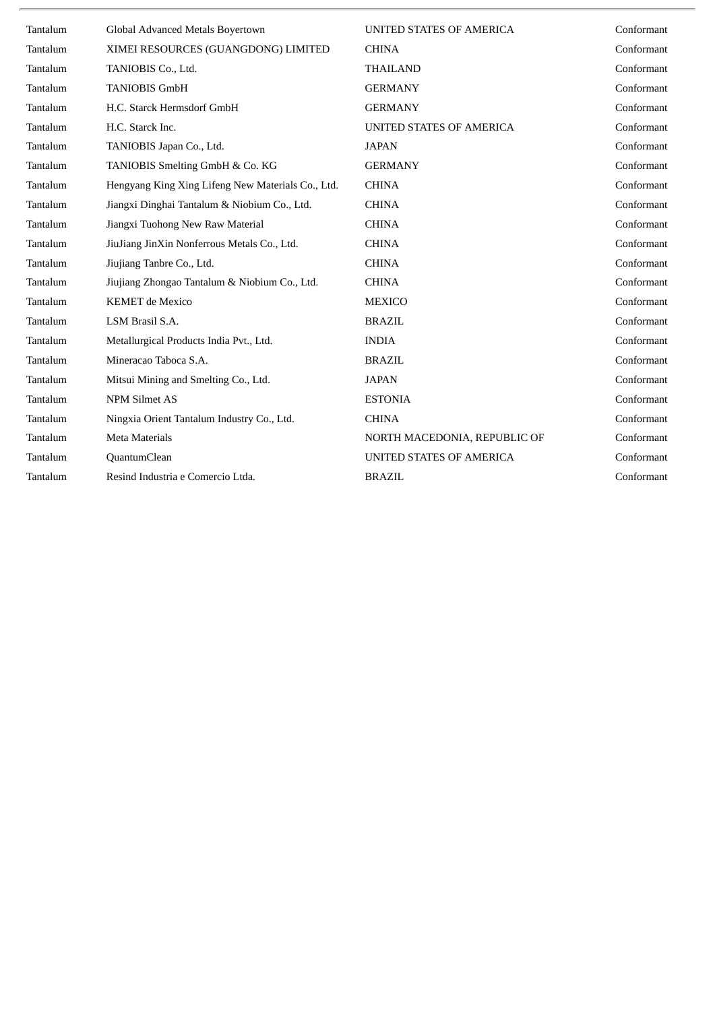| Tantalum | Global Advanced Metals Boyertown                  | UNITED STATES OF AMERICA     | Conformant |
|----------|---------------------------------------------------|------------------------------|------------|
| Tantalum | XIMEI RESOURCES (GUANGDONG) LIMITED               | <b>CHINA</b>                 | Conformant |
| Tantalum | TANIOBIS Co., Ltd.                                | <b>THAILAND</b>              | Conformant |
| Tantalum | <b>TANIOBIS GmbH</b>                              | <b>GERMANY</b>               | Conformant |
| Tantalum | H.C. Starck Hermsdorf GmbH                        | <b>GERMANY</b>               | Conformant |
| Tantalum | H.C. Starck Inc.                                  | UNITED STATES OF AMERICA     | Conformant |
| Tantalum | TANIOBIS Japan Co., Ltd.                          | <b>JAPAN</b>                 | Conformant |
| Tantalum | TANIOBIS Smelting GmbH & Co. KG                   | <b>GERMANY</b>               | Conformant |
| Tantalum | Hengyang King Xing Lifeng New Materials Co., Ltd. | <b>CHINA</b>                 | Conformant |
| Tantalum | Jiangxi Dinghai Tantalum & Niobium Co., Ltd.      | <b>CHINA</b>                 | Conformant |
| Tantalum | Jiangxi Tuohong New Raw Material                  | <b>CHINA</b>                 | Conformant |
| Tantalum | JiuJiang JinXin Nonferrous Metals Co., Ltd.       | <b>CHINA</b>                 | Conformant |
| Tantalum | Jiujiang Tanbre Co., Ltd.                         | <b>CHINA</b>                 | Conformant |
| Tantalum | Jiujiang Zhongao Tantalum & Niobium Co., Ltd.     | <b>CHINA</b>                 | Conformant |
| Tantalum | <b>KEMET</b> de Mexico                            | <b>MEXICO</b>                | Conformant |
| Tantalum | LSM Brasil S.A.                                   | <b>BRAZIL</b>                | Conformant |
| Tantalum | Metallurgical Products India Pvt., Ltd.           | <b>INDIA</b>                 | Conformant |
| Tantalum | Mineracao Taboca S.A.                             | <b>BRAZIL</b>                | Conformant |
| Tantalum | Mitsui Mining and Smelting Co., Ltd.              | <b>JAPAN</b>                 | Conformant |
| Tantalum | <b>NPM Silmet AS</b>                              | <b>ESTONIA</b>               | Conformant |
| Tantalum | Ningxia Orient Tantalum Industry Co., Ltd.        | <b>CHINA</b>                 | Conformant |
| Tantalum | <b>Meta Materials</b>                             | NORTH MACEDONIA, REPUBLIC OF | Conformant |
| Tantalum | QuantumClean                                      | UNITED STATES OF AMERICA     | Conformant |
| Tantalum | Resind Industria e Comercio Ltda.                 | <b>BRAZIL</b>                | Conformant |
|          |                                                   |                              |            |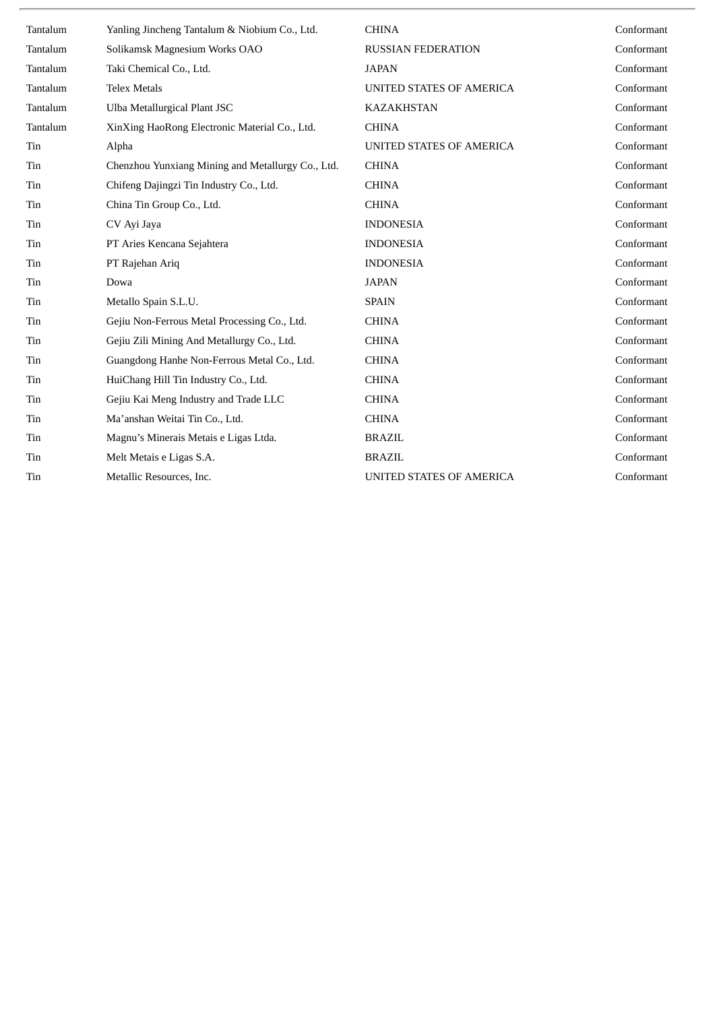| Tantalum | Yanling Jincheng Tantalum & Niobium Co., Ltd.     | <b>CHINA</b>              | Conformant |
|----------|---------------------------------------------------|---------------------------|------------|
| Tantalum | Solikamsk Magnesium Works OAO                     | <b>RUSSIAN FEDERATION</b> | Conformant |
| Tantalum | Taki Chemical Co., Ltd.                           | <b>JAPAN</b>              | Conformant |
| Tantalum | <b>Telex Metals</b>                               | UNITED STATES OF AMERICA  | Conformant |
| Tantalum | Ulba Metallurgical Plant JSC                      | <b>KAZAKHSTAN</b>         | Conformant |
| Tantalum | XinXing HaoRong Electronic Material Co., Ltd.     | <b>CHINA</b>              | Conformant |
| Tin      | Alpha                                             | UNITED STATES OF AMERICA  | Conformant |
| Tin      | Chenzhou Yunxiang Mining and Metallurgy Co., Ltd. | <b>CHINA</b>              | Conformant |
| Tin      | Chifeng Dajingzi Tin Industry Co., Ltd.           | <b>CHINA</b>              | Conformant |
| Tin      | China Tin Group Co., Ltd.                         | <b>CHINA</b>              | Conformant |
| Tin      | CV Ayi Jaya                                       | <b>INDONESIA</b>          | Conformant |
| Tin      | PT Aries Kencana Sejahtera                        | <b>INDONESIA</b>          | Conformant |
| Tin      | PT Rajehan Ariq                                   | <b>INDONESIA</b>          | Conformant |
| Tin      | Dowa                                              | <b>JAPAN</b>              | Conformant |
| Tin      | Metallo Spain S.L.U.                              | <b>SPAIN</b>              | Conformant |
| Tin      | Gejiu Non-Ferrous Metal Processing Co., Ltd.      | <b>CHINA</b>              | Conformant |
| Tin      | Gejiu Zili Mining And Metallurgy Co., Ltd.        | <b>CHINA</b>              | Conformant |
| Tin      | Guangdong Hanhe Non-Ferrous Metal Co., Ltd.       | <b>CHINA</b>              | Conformant |
| Tin      | HuiChang Hill Tin Industry Co., Ltd.              | <b>CHINA</b>              | Conformant |
| Tin      | Gejiu Kai Meng Industry and Trade LLC             | <b>CHINA</b>              | Conformant |
| Tin      | Ma'anshan Weitai Tin Co., Ltd.                    | <b>CHINA</b>              | Conformant |
| Tin      | Magnu's Minerais Metais e Ligas Ltda.             | <b>BRAZIL</b>             | Conformant |
| Tin      | Melt Metais e Ligas S.A.                          | <b>BRAZIL</b>             | Conformant |
| Tin      | Metallic Resources, Inc.                          | UNITED STATES OF AMERICA  | Conformant |
|          |                                                   |                           |            |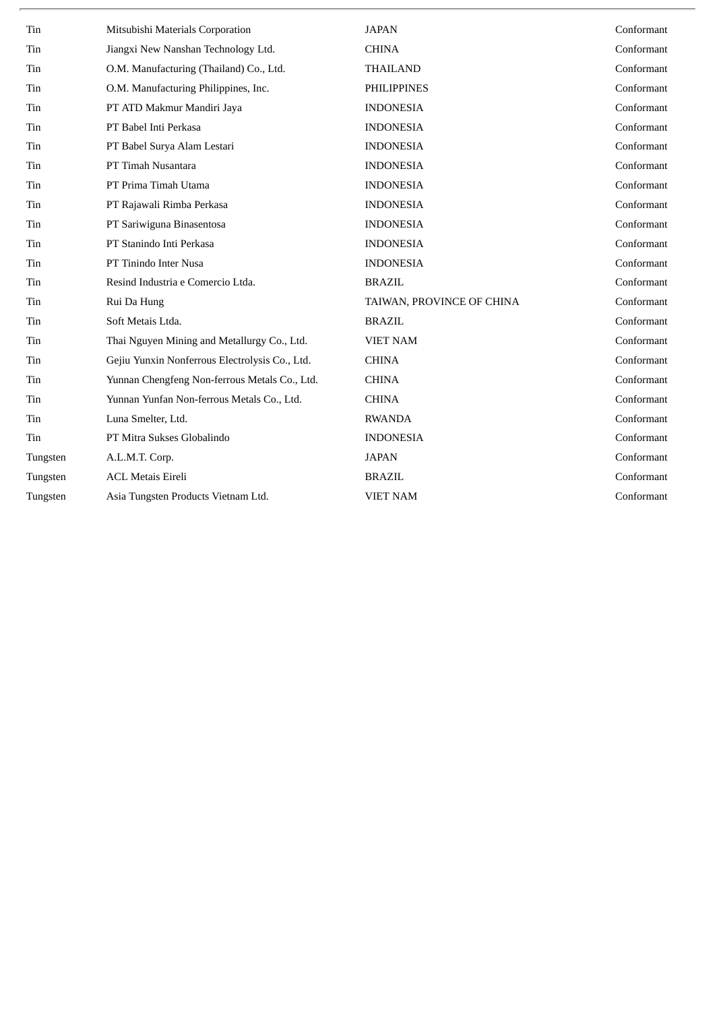| Tin      | Mitsubishi Materials Corporation               | <b>JAPAN</b>              | Conformant |
|----------|------------------------------------------------|---------------------------|------------|
| Tin      | Jiangxi New Nanshan Technology Ltd.            | <b>CHINA</b>              | Conformant |
| Tin      | O.M. Manufacturing (Thailand) Co., Ltd.        | <b>THAILAND</b>           | Conformant |
| Tin      | O.M. Manufacturing Philippines, Inc.           | <b>PHILIPPINES</b>        | Conformant |
| Tin      | PT ATD Makmur Mandiri Jaya                     | <b>INDONESIA</b>          | Conformant |
| Tin      | PT Babel Inti Perkasa                          | <b>INDONESIA</b>          | Conformant |
| Tin      | PT Babel Surya Alam Lestari                    | <b>INDONESIA</b>          | Conformant |
| Tin      | PT Timah Nusantara                             | <b>INDONESIA</b>          | Conformant |
| Tin      | PT Prima Timah Utama                           | <b>INDONESIA</b>          | Conformant |
| Tin      | PT Rajawali Rimba Perkasa                      | <b>INDONESIA</b>          | Conformant |
| Tin      | PT Sariwiguna Binasentosa                      | <b>INDONESIA</b>          | Conformant |
| Tin      | PT Stanindo Inti Perkasa                       | <b>INDONESIA</b>          | Conformant |
| Tin      | PT Tinindo Inter Nusa                          | <b>INDONESIA</b>          | Conformant |
| Tin      | Resind Industria e Comercio Ltda.              | <b>BRAZIL</b>             | Conformant |
| Tin      | Rui Da Hung                                    | TAIWAN, PROVINCE OF CHINA | Conformant |
| Tin      | Soft Metais Ltda.                              | <b>BRAZIL</b>             | Conformant |
| Tin      | Thai Nguyen Mining and Metallurgy Co., Ltd.    | VIET NAM                  | Conformant |
| Tin      | Gejiu Yunxin Nonferrous Electrolysis Co., Ltd. | <b>CHINA</b>              | Conformant |
| Tin      | Yunnan Chengfeng Non-ferrous Metals Co., Ltd.  | <b>CHINA</b>              | Conformant |
| Tin      | Yunnan Yunfan Non-ferrous Metals Co., Ltd.     | <b>CHINA</b>              | Conformant |
| Tin      | Luna Smelter, Ltd.                             | <b>RWANDA</b>             | Conformant |
| Tin      | PT Mitra Sukses Globalindo                     | <b>INDONESIA</b>          | Conformant |
| Tungsten | A.L.M.T. Corp.                                 | <b>JAPAN</b>              | Conformant |
| Tungsten | <b>ACL Metais Eireli</b>                       | <b>BRAZIL</b>             | Conformant |
| Tungsten | Asia Tungsten Products Vietnam Ltd.            | <b>VIET NAM</b>           | Conformant |
|          |                                                |                           |            |